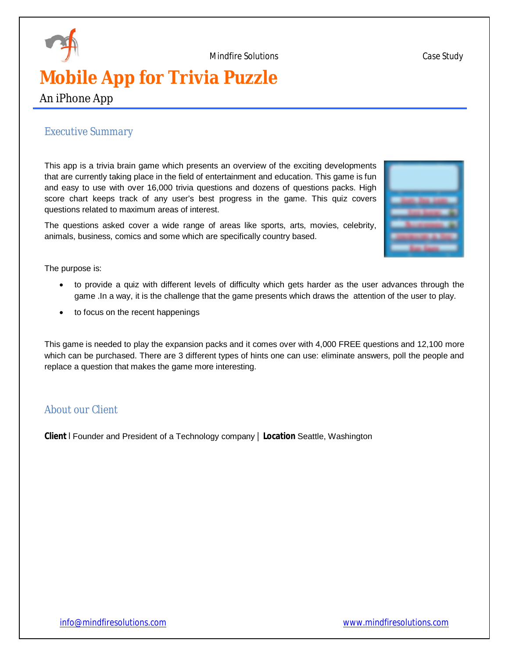

# **Mobile App for Trivia Puzzle**

An iPhone App

# *Executive Summary*

This app is a trivia brain game which presents an overview of the exciting developments that are currently taking place in the field of entertainment and education. This game is fun and easy to use with over 16,000 trivia questions and dozens of questions packs. High score chart keeps track of any user's best progress in the game. This quiz covers questions related to maximum areas of interest.

The questions asked cover a wide range of areas like sports, arts, movies, celebrity, animals, business, comics and some which are specifically country based.

The purpose is:

- to provide a quiz with different levels of difficulty which gets harder as the user advances through the game .In a way, it is the challenge that the game presents which draws the attention of the user to play.
- to focus on the recent happenings

This game is needed to play the expansion packs and it comes over with 4,000 FREE questions and 12,100 more which can be purchased. There are 3 different types of hints one can use: eliminate answers, poll the people and replace a question that makes the game more interesting.

### *About our Client*

**Client** I Founder and President of a Technology company | **Location** Seattle, Washington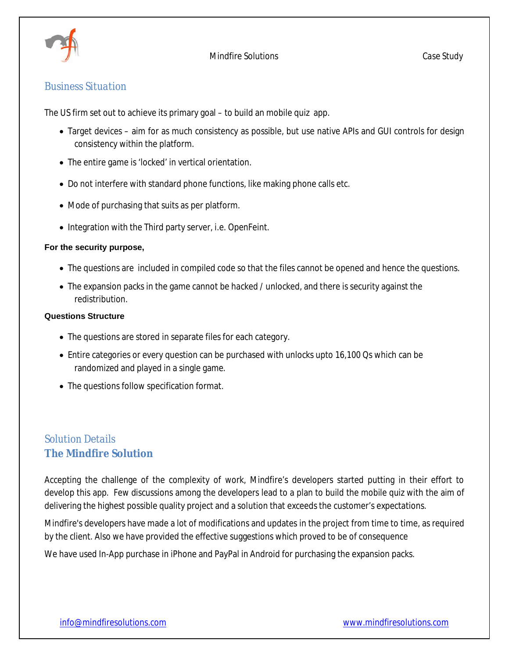

### *Business Situation*

The US firm set out to achieve its primary goal – to build an mobile quiz app.

- Target devices aim for as much consistency as possible, but use native APIs and GUI controls for design consistency within the platform.
- The entire game is 'locked' in vertical orientation.
- Do not interfere with standard phone functions, like making phone calls etc.
- Mode of purchasing that suits as per platform.
- Integration with the Third party server, i.e. OpenFeint.

#### **For the security purpose,**

- The questions are included in compiled code so that the files cannot be opened and hence the questions.
- The expansion packs in the game cannot be hacked / unlocked, and there is security against the redistribution.

#### **Questions Structure**

- The questions are stored in separate files for each category.
- Entire categories or every question can be purchased with unlocks upto 16,100 Qs which can be randomized and played in a single game.
- The questions follow specification format.

# *Solution Details* **The Mindfire Solution**

Accepting the challenge of the complexity of work, Mindfire's developers started putting in their effort to develop this app. Few discussions among the developers lead to a plan to build the mobile quiz with the aim of delivering the highest possible quality project and a solution that exceeds the customer's expectations.

Mindfire's developers have made a lot of modifications and updates in the project from time to time, as required by the client. Also we have provided the effective suggestions which proved to be of consequence

We have used In-App purchase in iPhone and PayPal in Android for purchasing the expansion packs.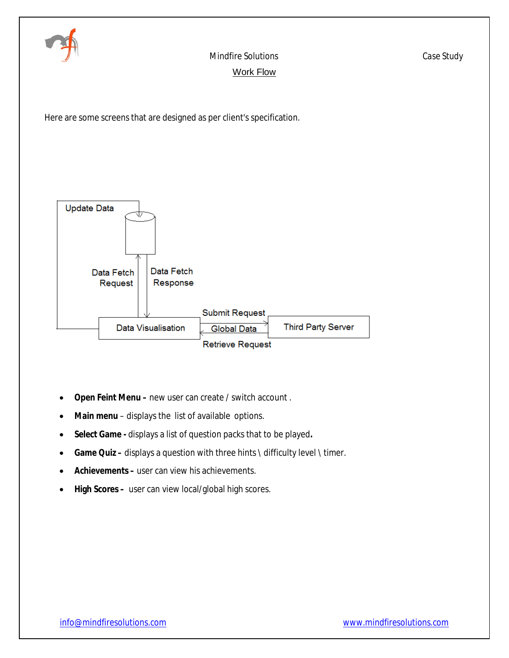

# Mindfire Solutions *Case Study* Work Flow

Here are some screens that are designed as per client's specification.



- **Open Feint Menu –** new user can create / switch account .
- **Main menu** displays the list of available options.
- **Select Game -** displays a list of question packs that to be played**.**
- **Game Quiz –** displays a question with three hints \ difficulty level \ timer.
- **Achievements –** user can view his achievements.
- **High Scores –** user can view local/global high scores.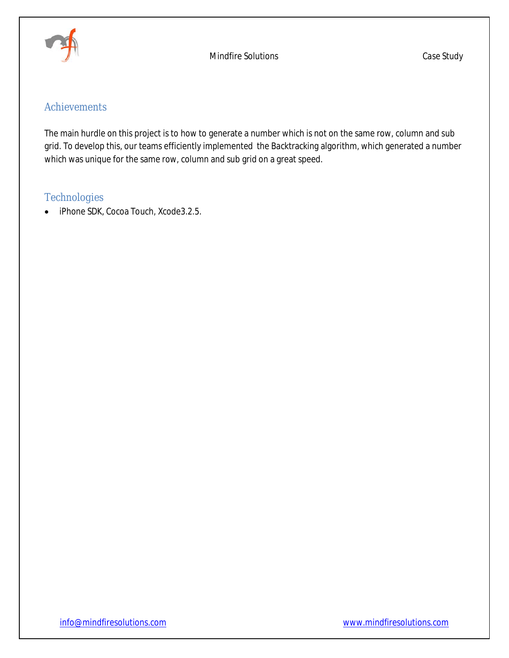

# *Achievements*

The main hurdle on this project is to how to generate a number which is not on the same row, column and sub grid. To develop this, our teams efficiently implemented the Backtracking algorithm, which generated a number which was unique for the same row, column and sub grid on a great speed.

# *Technologies*

• iPhone SDK, Cocoa Touch, Xcode3.2.5.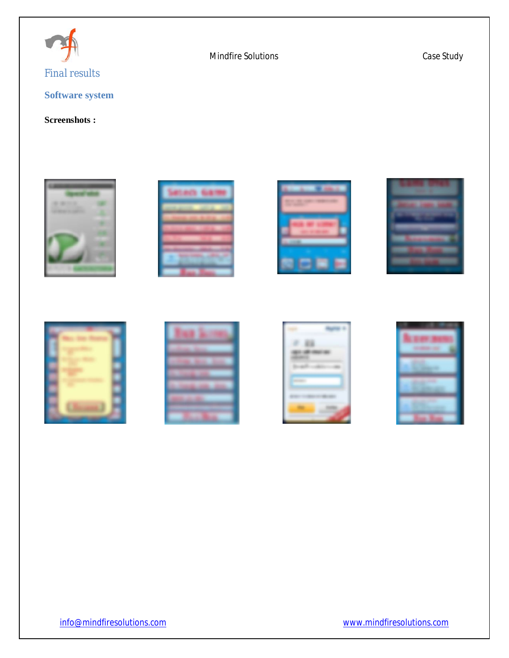

# **Software system**

## **Screenshots :**











|                               |                   |      | k. |  |  |
|-------------------------------|-------------------|------|----|--|--|
| <b><i>Children Street</i></b> |                   |      |    |  |  |
| 12, 1999                      |                   | 2020 |    |  |  |
| <b>CONSUMERS AND STATE</b>    |                   |      |    |  |  |
|                               | <b>STATISTICS</b> |      |    |  |  |